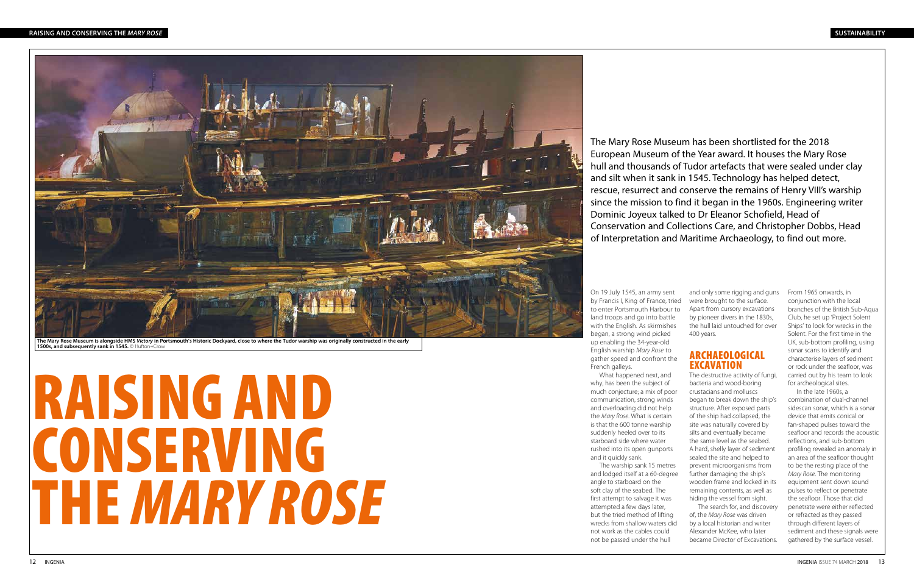# RAISING AND CONSERVING THE *MARY ROSE*

### **RAISING AND CONSERVING THE** *MARY ROSE*



The Mary Rose Museum is alongside HMS *Victory* in Portsmouth's Historic Dockyard, close to where the Tudor warship was originally constructed in the early<br>1500s, and subsequently sank in 1545. © Hufton+Crow

The Mary Rose Museum has been shortlisted for the 2018 European Museum of the Year award. It houses the Mary Rose hull and thousands of Tudor artefacts that were sealed under clay and silt when it sank in 1545. Technology has helped detect, rescue, resurrect and conserve the remains of Henry VIII's warship since the mission to find it began in the 1960s. Engineering writer Dominic Joyeux talked to Dr Eleanor Schofield, Head of Conservation and Collections Care, and Christopher Dobbs, Head of Interpretation and Maritime Archaeology, to find out more.

> and only some rigging and guns From 1965 onwards, in were brought to the surface. Apart from cursory excavations by pioneer divers in the 1830s, the hull laid untouched for over 400 years.

### ARCHAEOLOGICAL EXCAVATION

The destructive activity of fungi, bacteria and wood-boring crustacians and molluscs began to break down the ship's structure. After exposed parts of the ship had collapsed, the site was naturally covered by silts and eventually became the same level as the seabed. A hard, shelly layer of sediment sealed the site and helped to prevent microorganisms from further damaging the ship's wooden frame and locked in its remaining contents, as well as hiding the vessel from sight.

The search for, and discovery of, the *Mary Rose* was driven by a local historian and writer Alexander McKee, who later became Director of Excavations.

conjunction with the local branches of the British Sub-Aqua Club, he set up 'Project Solent Ships' to look for wrecks in the Solent. For the first time in the UK, sub-bottom profiling, using sonar scans to identify and characterise layers of sediment or rock under the seafloor, was carried out by his team to look for archeological sites.

In the late 1960s, a combination of dual-channel sidescan sonar, which is a sonar device that emits conical or fan-shaped pulses toward the seafloor and records the acoustic reflections, and sub-bottom profiling revealed an anomaly in an area of the seafloor thought to be the resting place of the *Mary Rose*. The monitoring equipment sent down sound pulses to reflect or penetrate the seafloor. Those that did penetrate were either reflected or refracted as they passed through different layers of sediment and these signals were gathered by the surface vessel.

On 19 July 1545, an army sent by Francis I, King of France, tried to enter Portsmouth Harbour to land troops and go into battle with the English. As skirmishes began, a strong wind picked up enabling the 34-year-old English warship *Mary Rose* to gather speed and confront the French galleys. What happened next, and

why, has been the subject of much conjecture; a mix of poor communication, strong winds and overloading did not help the *Mary Rose*. What is certain is that the 600 tonne warship suddenly heeled over to its starboard side where water rushed into its open gunports

and it quickly sank.

The warship sank 15 metres and lodged itself at a 60-degree angle to starboard on the soft clay of the seabed. The first attempt to salvage it was attempted a few days later, but the tried method of lifting wrecks from shallow waters did not work as the cables could not be passed under the hull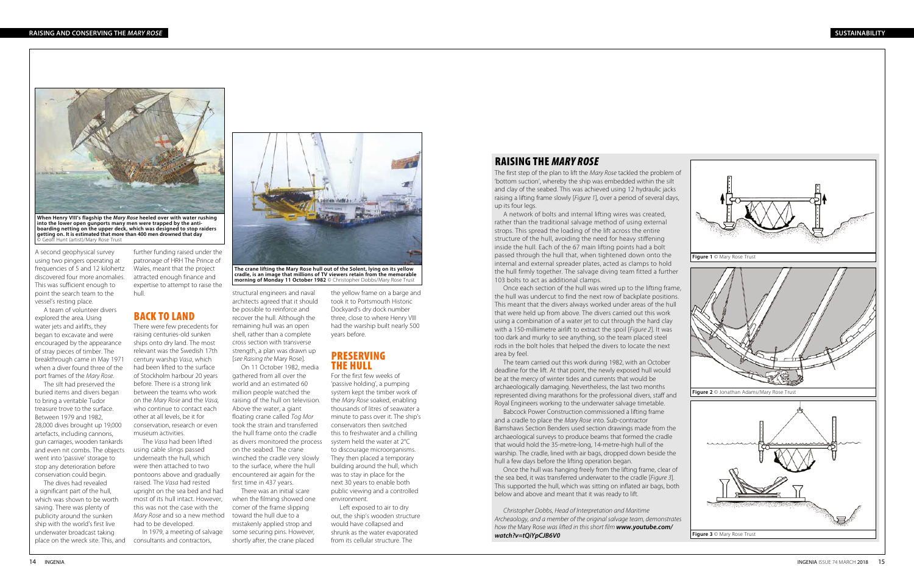### RAISING THE *MARY ROSE*

A second geophysical survey using two pingers operating at frequencies of 5 and 12 kilohertz discovered four more anomalies. This was sufficient enough to point the search team to the vessel's resting place.

A team of volunteer divers explored the area. Using water jets and airlifts, they began to excavate and were encouraged by the appearance of stray pieces of timber. The breakthrough came in May 1971 when a diver found three of the port frames of the *Mary Rose*.

The silt had preserved the buried items and divers began to bring a veritable Tudor treasure trove to the surface. Between 1979 and 1982, 28,000 dives brought up 19,000 artefacts, including cannons, gun carriages, wooden tankards and even nit combs. The objects went into 'passive' storage to stop any deterioration before conservation could begin.



**The crane lifting the Mary Rose hull out of the Solent, lying on its yellow cradle, is an image that millions of TV viewers retain from the memorable morning of Monday 11 October 1982** © Christopher Dobbs/Mary Rose Trust

further funding raised under the patronage of HRH The Prince of Wales, meant that the project attracted enough finance and expertise to attempt to raise the hull.

## BACK TO LAND

The dives had revealed a significant part of the hull, which was shown to be worth saving. There was plenty of publicity around the sunken ship with the world's first live underwater broadcast taking place on the wreck site. This, and consultants and contractors,

There were few precedents for raising centuries-old sunken ships onto dry land. The most relevant was the Swedish 17th century warship *Vasa*, which had been lifted to the surface of Stockholm harbour 20 years before. There is a strong link between the teams who work on the *Mary Rose* and the *Vasa*, who continue to contact each other at all levels, be it for conservation, research or even museum activities.

The *Vasa* had been lifted using cable slings passed underneath the hull, which were then attached to two pontoons above and gradually raised. The *Vasa* had rested upright on the sea bed and had most of its hull intact. However, this was not the case with the *Mary Rose* and so a new method toward the hull due to a had to be developed.

In 1979, a meeting of salvage

structural engineers and naval architects agreed that it should be possible to reinforce and recover the hull. Although the remaining hull was an open shell, rather than a complete cross section with transverse strength, a plan was drawn up [*see Raising the* Mary Rose].

On 11 October 1982, media gathered from all over the world and an estimated 60 million people watched the raising of the hull on television. Above the water, a giant floating crane called *Tog Mor*  took the strain and transferred the hull frame onto the cradle as divers monitored the process on the seabed. The crane winched the cradle very slowly to the surface, where the hull encountered air again for the first time in 437 years.

There was an initial scare when the filming showed one corner of the frame slipping mistakenly applied strop and some securing pins. However, shortly after, the crane placed

the yellow frame on a barge and took it to Portsmouth Historic Dockyard's dry dock number three, close to where Henry VIII had the warship built nearly 500 years before.

### PRESERVING THE HULL

For the first few weeks of 'passive holding', a pumping system kept the timber work of the *Mary Rose* soaked, enabling thousands of litres of seawater a minute to pass over it. The ship's conservators then switched this to freshwater and a chilling system held the water at 2°C to discourage microorganisms. They then placed a temporary building around the hull, which was to stay in place for the next 30 years to enable both public viewing and a controlled environment.

Left exposed to air to dry out, the ship's wooden structure would have collapsed and shrunk as the water evaporated from its cellular structure. The



The first step of the plan to lift the *Mary Rose* tackled the problem of 'bottom suction', whereby the ship was embedded within the silt and clay of the seabed. This was achieved using 12 hydraulic jacks raising a lifting frame slowly [*Figure 1*], over a period of several days, up its four legs.

A network of bolts and internal lifting wires was created, rather than the traditional salvage method of using external strops. This spread the loading of the lift across the entire structure of the hull, avoiding the need for heavy stiffening inside the hull. Each of the 67 main lifting points had a bolt passed through the hull that, when tightened down onto the internal and external spreader plates, acted as clamps to hold the hull firmly together. The salvage diving team fitted a further 103 bolts to act as additional clamps.

Once each section of the hull was wired up to the lifting frame, the hull was undercut to find the next row of backplate positions. This meant that the divers always worked under areas of the hull that were held up from above. The divers carried out this work using a combination of a water jet to cut through the hard clay with a 150-milliimetre airlift to extract the spoil [*Figure 2*]. It was too dark and murky to see anything, so the team placed steel rods in the bolt holes that helped the divers to locate the next area by feel.

The team carried out this work during 1982, with an October deadline for the lift. At that point, the newly exposed hull would be at the mercy of winter tides and currents that would be archaeologically damaging. Nevertheless, the last two months represented diving marathons for the professional divers, staff and Royal Engineers working to the underwater salvage timetable.

Babcock Power Construction commissioned a lifting frame and a cradle to place the *Mary Rose* into. Sub-contractor Barnshaws Section Benders used section drawings made from the archaeological surveys to produce beams that formed the cradle that would hold the 35-metre-long, 14-metre-high hull of the warship. The cradle, lined with air bags, dropped down beside the hull a few days before the lifting operation began.

Once the hull was hanging freely from the lifting frame, clear of the sea bed, it was transferred underwater to the cradle [*Figure 3*]. This supported the hull, which was sitting on inflated air bags, both below and above and meant that it was ready to lift.

*Christopher Dobbs, Head of Interpretation and Maritime Archeaology, and a member of the original salvage team, demonstrates how the* Mary Rose *was lifted in this short film www.youtube.com/ watch?v=tQiYpCJB6V0*



**When Henry VIII's flagship the** *Mary Rose* **heeled over with water rushing into the lower open gunports many men were trapped by the antiboarding netting on the upper deck, which was designed to stop raiders getting on. It is estimated that more than 400 men drowned that day**  © Geoff Hunt (artist)/Mary Rose Trust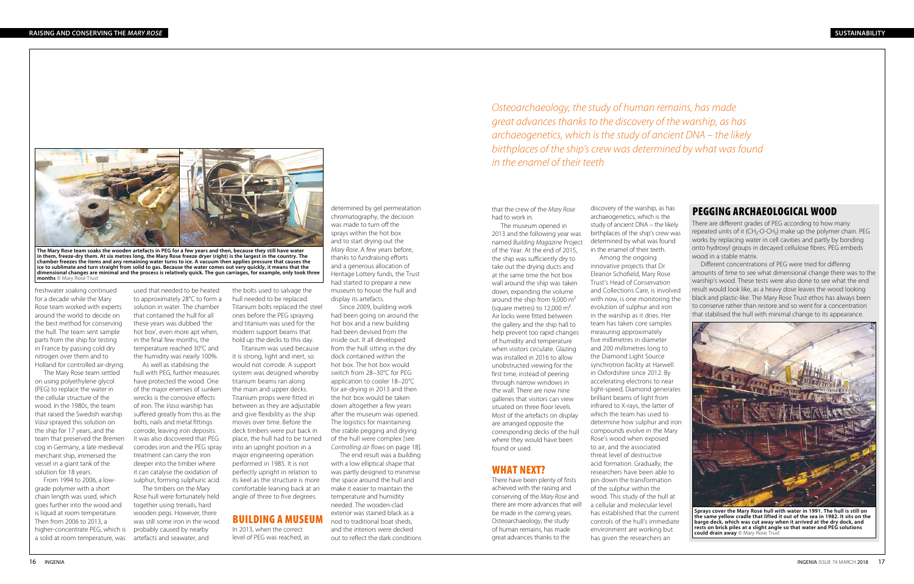# PEGGING ARCHAEOLOGICAL WOOD



**Sprays cover the Mary Rose hull with water in 1991. The hull is still on the same yellow cradle that lifted it out of the sea in 1982. It sits on the barge deck, which was cut away when it arrived at the dry dock, and rests on brick piles at a slight angle so that water and PEG solutions could drain away** © Mary Rose Trust

There are different grades of PEG according to how many repeated units of it (CH<sub>2</sub>-O-CH<sub>2</sub>) make up the polymer chain. PEG works by replacing water in cell cavities and partly by bonding onto hydroxyl groups in decayed cellulose fibres. PEG embeds wood in a stable matrix.

Different concentrations of PEG were tried for differing amounts of time to see what dimensional change there was to the warship's wood. These tests were also done to see what the end result would look like, as a heavy dose leaves the wood looking black and plastic-like. The Mary Rose Trust ethos has always been to conserve rather than restore and so went for a concentration that stabilised the hull with minimal change to its appearance.

determined by gel permeatation chromatography, the decision was made to turn off the sprays within the hot box and to start drying out the *Mary Rose*. A few years before, thanks to fundraising efforts and a generous allocation of Heritage Lottery funds, the Trust had started to prepare a new museum to house the hull and display its artefacts.

Since 2009, building work had been going on around the hot box and a new building had been devised from the inside out. It all developed from the hull sitting in the dry dock contained within the hot box. The hot box would switch from 28–30°C for PEG application to cooler 18–20°C for air-drying in 2013 and then the hot box would be taken down altogether a few years after the museum was opened. The logistics for maintaining the stable pegging and drying of the hull were complex [see *Controlling air flows* on page 18].

The end result was a building with a low elliptical shape that was partly designed to minimise the space around the hull and make it easier to maintain the temperature and humidity needed. The wooden-clad exterior was stained black as a nod to traditional boat sheds, and the interiors were decked out to reflect the dark conditions

freshwater soaking continued for a decade while the Mary Rose team worked with experts around the world to decide on the best method for conserving the hull. The team sent sample parts from the ship for testing in France by passing cold dry nitrogen over them and to Holland for controlled air-drying.

The Mary Rose team settled on using polyethylene glycol (PEG) to replace the water in the cellular structure of the wood. In the 1980s, the team that raised the Swedish warship *Vasa* sprayed this solution on the ship for 17 years, and the team that preserved the Bremen cog in Germany, a late medieval merchant ship, immersed the vessel in a giant tank of the solution for 18 years.

that the crew of the *Mary Rose* had to work in.

The museum opened in 2013 and the following year was named *Building Magazine* Project of the Year. At the end of 2015, the ship was sufficiently dry to take out the drying ducts and at the same time the hot box wall around the ship was taken down, expanding the volume around the ship from 9,000 m² (square metres) to  $12,000 \text{ m}^2$ . Air locks were fitted between the gallery and the ship hall to help prevent too rapid changes of humidity and temperature when visitors circulate. Glazing was installed in 2016 to allow unobstructed viewing for the first time, instead of peering through narrow windows in the wall. There are now nine galleries that visitors can view situated on three floor levels. Most of the artefacts on display are arranged opposite the corresponding decks of the hull where they would have been found or used.

## WHAT NEXT?

There have been plenty of firsts achieved with the raising and conserving of the *Mary Rose* and there are more advances that will be made in the coming years. Osteoarchaeology, the study of human remains, has made great advances thanks to the

Among the ongoing

discovery of the warship, as has archaeogenetics, which is the study of ancient DNA – the likely birthplaces of the ship's crew was determined by what was found in the enamel of their teeth. innovative projects that Dr Eleanor Schofield, Mary Rose Trust's Head of Conservation and Collections Care, is involved with now, is one monitoring the evolution of sulphur and iron in the warship as it dries. Her team has taken core samples measuring approximately five millimetres in diameter and 200 millimetres long to the Diamond Light Source synchrotron facility at Harwell in Oxfordshire since 2012. By accelerating electrons to near light-speed, Diamond generates brilliant beams of light from infrared to X-rays, the latter of which the team has used to determine how sulphur and iron compounds evolve in the Mary Rose's wood when exposed to air, and the associated threat level of destructive acid formation. Gradually, the researchers have been able to pin down the transformation of the sulphur within the wood. This study of the hull at a cellular and molecular level has established that the current controls of the hull's immediate environment are working but has given the researchers an

From 1994 to 2006, a lowgrade polymer with a short chain length was used, which goes further into the wood and is liquid at room temperature. Then from 2006 to 2013, a higher-concentrate PEG, which is a solid at room temperature, was artefacts and seawater, and



**The Mary Rose team soaks the wooden artefacts in PEG for a few years and then, because they still have water in them, freeze-dry them. At six metres long, the Mary Rose freeze dryer (right) is the largest in the country. The chamber freezes the items and any remaining water turns to ice. A vacuum then applies pressure that causes the ice to sublimate and turn straight from solid to gas. Because the water comes out very quickly, it means that the dimensional changes are minimal and the process is relatively quick. The gun carriages, for example, only took three months** © Mary Rose Trust

used that needed to be heated to approximately 28°C to form a solution in water. The chamber that contained the hull for all these years was dubbed 'the hot box', even more apt when, in the final few months, the temperature reached 30°C and the humidity was nearly 100%.

As well as stabilising the hull with PEG, further measures have protected the wood. One of the major enemies of sunken wrecks is the corrosive effects of iron. The *Vasa* warship has suffered greatly from this as the bolts, nails and metal fittings corrode, leaving iron deposits. It was also discovered that PEG corrodes iron and the PEG spray treatment can carry the iron deeper into the timber where it can catalyse the oxidation of sulphur, forming sulphuric acid.

The timbers on the Mary Rose hull were fortunately held together using trenails, hard wooden pegs. However, there was still some iron in the wood probably caused by nearby

the bolts used to salvage the hull needed to be replaced. Titanium bolts replaced the steel ones before the PEG spraying and titanium was used for the modern support beams that hold up the decks to this day.

Titanium was used because it is strong, light and inert, so would not corrode. A support system was designed whereby titanium beams ran along the main and upper decks. Titanium props were fitted in between as they are adjustable and give flexibility as the ship moves over time. Before the deck timbers were put back in place, the hull had to be turned into an upright position in a major engineering operation performed in 1985. It is not perfectly upright in relation to its keel as the structure is more comfortable leaning back at an angle of three to five degrees.

## BUILDING A MUSEUM

In 2013, when the correct level of PEG was reached, as *Osteoarchaeology, the study of human remains, has made great advances thanks to the discovery of the warship, as has archaeogenetics, which is the study of ancient DNA – the likely birthplaces of the ship's crew was determined by what was found in the enamel of their teeth*